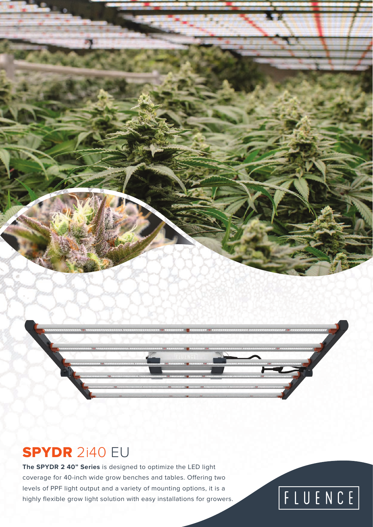### SPYDR 2i40 EU

**The SPYDR 2 40" Series** is designed to optimize the LED light coverage for 40-inch wide grow benches and tables. Offering two levels of PPF light output and a variety of mounting options, it is a highly flexible grow light solution with easy installations for growers.

# FLUENCE